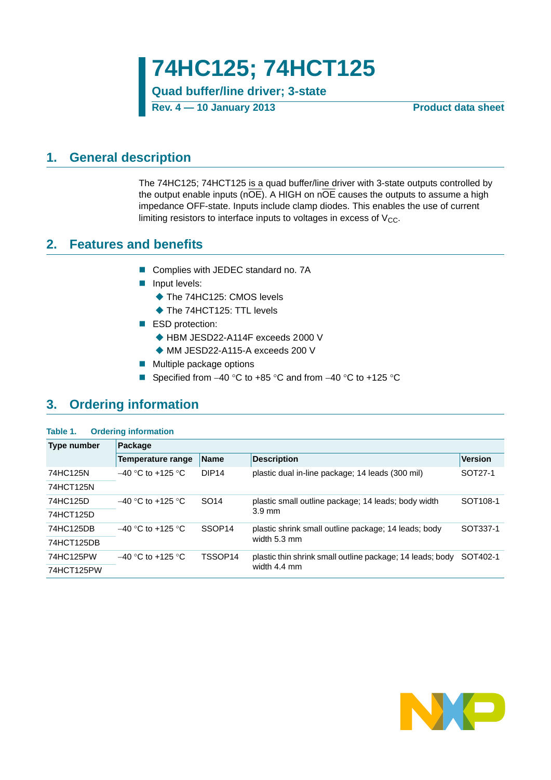**74HC125; 74HCT125**

**Quad buffer/line driver; 3-state**

**Rev. 4 — 10 January 2013 Product data sheet**

## <span id="page-0-0"></span>**1. General description**

The 74HC125; 74HCT125 is a quad buffer/line driver with 3-state outputs controlled by the output enable inputs ( $n\overline{OE}$ ). A HIGH on  $n\overline{OE}$  causes the outputs to assume a high impedance OFF-state. Inputs include clamp diodes. This enables the use of current limiting resistors to interface inputs to voltages in excess of  $V_{CC}$ .

## <span id="page-0-1"></span>**2. Features and benefits**

- Complies with JEDEC standard no. 7A
- **Input levels:** 
	- ◆ The 74HC125: CMOS levels
	- ◆ The 74HCT125: TTL levels
- ESD protection:
	- ◆ HBM JESD22-A114F exceeds 2000 V
	- ◆ MM JESD22-A115-A exceeds 200 V
- $\blacksquare$  Multiple package options
- Specified from  $-40$  °C to  $+85$  °C and from  $-40$  °C to  $+125$  °C

# <span id="page-0-2"></span>**3. Ordering information**

### **Table 1. Ordering information**

| Type number | Package              |                    |                                                           |                      |  |  |  |  |  |  |
|-------------|----------------------|--------------------|-----------------------------------------------------------|----------------------|--|--|--|--|--|--|
|             | Temperature range    | <b>Name</b>        | <b>Description</b>                                        | <b>Version</b>       |  |  |  |  |  |  |
| 74HC125N    | $-40$ °C to +125 °C  | DIP <sub>14</sub>  | plastic dual in-line package; 14 leads (300 mil)          | SOT27-1              |  |  |  |  |  |  |
| 74HCT125N   |                      |                    |                                                           |                      |  |  |  |  |  |  |
| 74HC125D    | $-40$ °C to +125 °C  | SO <sub>14</sub>   | plastic small outline package; 14 leads; body width       | SOT <sub>108-1</sub> |  |  |  |  |  |  |
| 74HCT125D   |                      |                    | $3.9 \text{ mm}$                                          |                      |  |  |  |  |  |  |
| 74HC125DB   | $-40$ °C to +125 °C  | SSOP <sub>14</sub> | plastic shrink small outline package; 14 leads; body      | SOT337-1             |  |  |  |  |  |  |
| 74HCT125DB  |                      |                    | width 5.3 mm                                              |                      |  |  |  |  |  |  |
| 74HC125PW   | $-40$ °C to +125 °C. | TSSOP14            | plastic thin shrink small outline package; 14 leads; body | SOT402-1             |  |  |  |  |  |  |
| 74HCT125PW  |                      |                    | width 4.4 mm                                              |                      |  |  |  |  |  |  |

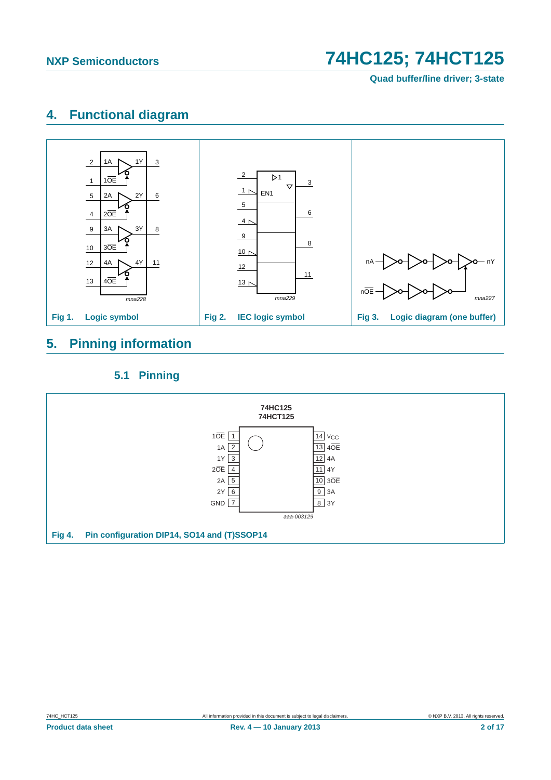**Quad buffer/line driver; 3-state**

# <span id="page-1-0"></span>**4. Functional diagram**



# <span id="page-1-1"></span>**5. Pinning information**

## **5.1 Pinning**

<span id="page-1-2"></span>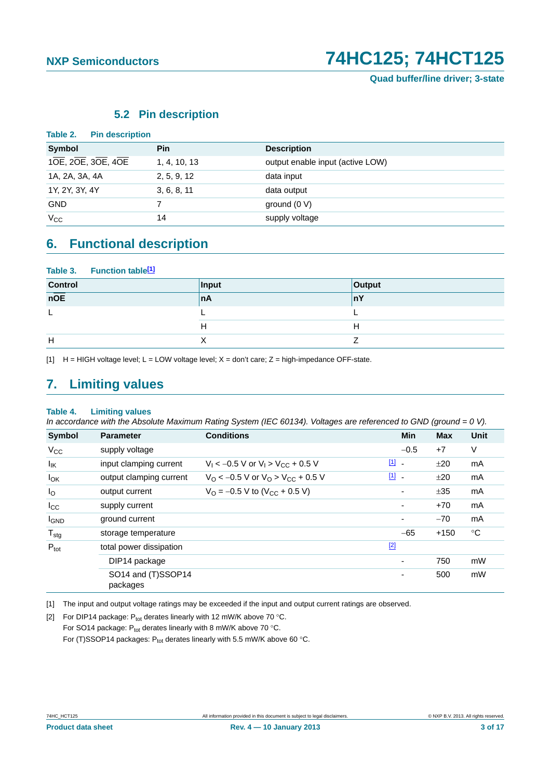## **5.2 Pin description**

<span id="page-2-3"></span>

| Table 2.                                                                  | <b>Pin description</b> |              |                                  |
|---------------------------------------------------------------------------|------------------------|--------------|----------------------------------|
| Symbol                                                                    |                        | <b>Pin</b>   | <b>Description</b>               |
| $1\overline{OE}$ , $2\overline{OE}$ , $3\overline{OE}$ , $4\overline{OE}$ |                        | 1, 4, 10, 13 | output enable input (active LOW) |
| 1A, 2A, 3A, 4A                                                            |                        | 2, 5, 9, 12  | data input                       |
| 1Y, 2Y, 3Y, 4Y                                                            |                        | 3, 6, 8, 11  | data output                      |
| <b>GND</b>                                                                |                        |              | ground $(0 V)$                   |
| $V_{CC}$                                                                  |                        | 14           | supply voltage                   |

## <span id="page-2-4"></span>**6. Functional description**

| Table 3. | <b>Function table<sup>[1]</sup></b> |
|----------|-------------------------------------|
|----------|-------------------------------------|

| $ControlnOE$ | Input | Output |
|--------------|-------|--------|
|              | ∣nA   | ∣nY    |
|              |       |        |
|              | Н     | п      |
| Н            |       |        |

<span id="page-2-0"></span>[1]  $H = HIGH$  voltage level; L = LOW voltage level; X = don't care; Z = high-impedance OFF-state.

# <span id="page-2-5"></span>**7. Limiting values**

### **Table 4. Limiting values**

*In accordance with the Absolute Maximum Rating System (IEC 60134). Voltages are referenced to GND (ground = 0 V).*

| <b>Symbol</b>    | <b>Parameter</b>               | <b>Conditions</b>                                             | Min                      | <b>Max</b> | Unit        |
|------------------|--------------------------------|---------------------------------------------------------------|--------------------------|------------|-------------|
| $V_{CC}$         | supply voltage                 |                                                               | $-0.5$                   | $+7$       | V           |
| lικ              | input clamping current         | $V_1 < -0.5$ V or $V_1 > V_{CC} + 0.5$ V                      | $\boxed{1}$              | ±20        | mA          |
| $I_{OK}$         | output clamping current        | $V_{\rm O}$ < -0.5 V or $V_{\rm O}$ > V <sub>CC</sub> + 0.5 V | $11 -$                   | ±20        | mA          |
| $I_{\rm O}$      | output current                 | $V_{\text{O}} = -0.5 \text{ V}$ to (V <sub>CC</sub> + 0.5 V)  | $\overline{\phantom{a}}$ | ±35        | mA          |
| $I_{\rm CC}$     | supply current                 |                                                               | $\overline{\phantom{a}}$ | $+70$      | mA          |
| <b>I</b> GND     | ground current                 |                                                               | $\overline{\phantom{0}}$ | $-70$      | mA          |
| $T_{\text{stg}}$ | storage temperature            |                                                               | $-65$                    | $+150$     | $^{\circ}C$ |
| $P_{\text{tot}}$ | total power dissipation        |                                                               | $[2]$                    |            |             |
|                  | DIP14 package                  |                                                               | $\overline{\phantom{a}}$ | 750        | mW          |
|                  | SO14 and (T)SSOP14<br>packages |                                                               | ٠                        | 500        | mW          |

<span id="page-2-1"></span>[1] The input and output voltage ratings may be exceeded if the input and output current ratings are observed.

<span id="page-2-2"></span>[2] For DIP14 package:  $P_{tot}$  derates linearly with 12 mW/K above 70 °C. For SO14 package:  $P_{tot}$  derates linearly with 8 mW/K above 70 °C. For (T)SSOP14 packages:  $P_{tot}$  derates linearly with 5.5 mW/K above 60 °C.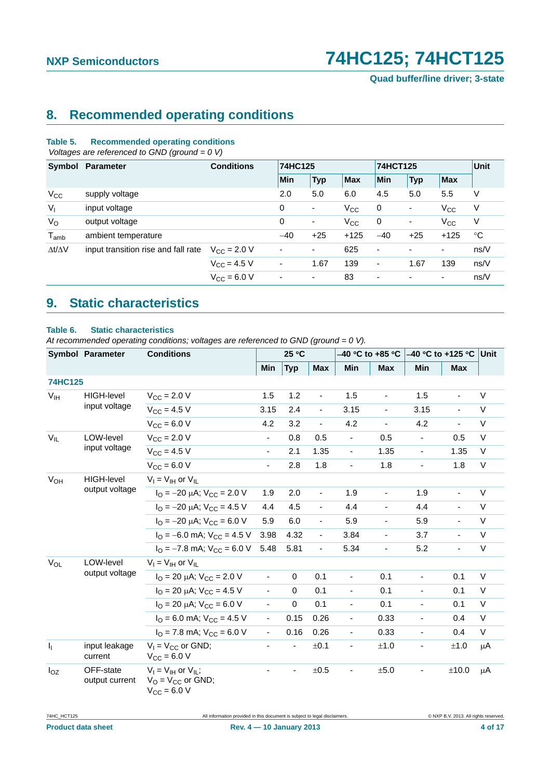**Quad buffer/line driver; 3-state**

# <span id="page-3-0"></span>**8. Recommended operating conditions**

#### **Table 5. Recommended operating conditions**

 *Voltages are referenced to GND (ground = 0 V)*

| Symbol              | <b>Parameter</b>                    | <b>Conditions</b>    | 74HC125 |                          |              | 74HCT125                 | <b>Unit</b>              |            |             |
|---------------------|-------------------------------------|----------------------|---------|--------------------------|--------------|--------------------------|--------------------------|------------|-------------|
|                     |                                     |                      | Min     | <b>Typ</b>               | <b>Max</b>   | <b>Min</b>               | <b>Typ</b>               | <b>Max</b> |             |
| $V_{\rm CC}$        | supply voltage                      |                      | 2.0     | 5.0                      | 6.0          | 4.5                      | 5.0                      | 5.5        | ٧           |
| $V_{I}$             | input voltage                       |                      | 0       | $\overline{\phantom{a}}$ | $V_{\rm CC}$ | 0                        | $\overline{\phantom{a}}$ | $V_{CC}$   | V           |
| $V_{\rm O}$         | output voltage                      |                      | 0       | $\overline{\phantom{a}}$ | $V_{CC}$     | $\mathbf 0$              | $\overline{\phantom{a}}$ | $V_{CC}$   | V           |
| $T_{amb}$           | ambient temperature                 |                      | $-40$   | $+25$                    | $+125$       | $-40$                    | $+25$                    | $+125$     | $^{\circ}C$ |
| $\Delta t/\Delta V$ | input transition rise and fall rate | $V_{\rm CC} = 2.0 V$ | ۰       | $\overline{\phantom{a}}$ | 625          | $\overline{\phantom{a}}$ | ٠                        | ٠          | ns/V        |
|                     |                                     | $V_{\rm CC} = 4.5 V$ | ۰       | 1.67                     | 139          | ٠                        | 1.67                     | 139        | ns/V        |
|                     |                                     | $V_{\rm CC} = 6.0 V$ | ۰       | ۰                        | 83           | $\overline{\phantom{a}}$ | ٠                        | ٠          | ns/V        |

# <span id="page-3-1"></span>**9. Static characteristics**

#### **Table 6. Static characteristics**

*At recommended operating conditions; voltages are referenced to GND (ground = 0 V).*

|                           | <b>Symbol Parameter</b>             | <b>Conditions</b>                                                          |                          | 25 °C                    |                          |                          |                          |                          |                          |        |
|---------------------------|-------------------------------------|----------------------------------------------------------------------------|--------------------------|--------------------------|--------------------------|--------------------------|--------------------------|--------------------------|--------------------------|--------|
|                           |                                     |                                                                            | Min                      | <b>Typ</b>               | <b>Max</b>               | <b>Min</b>               | <b>Max</b>               | Min                      | <b>Max</b>               |        |
| <b>74HC125</b>            |                                     |                                                                            |                          |                          |                          |                          |                          |                          |                          |        |
| V <sub>IH</sub>           | <b>HIGH-level</b>                   | $V_{\text{CC}} = 2.0 V$                                                    | 1.5                      | 1.2                      | $\blacksquare$           | 1.5                      | L.                       | 1.5                      | $\overline{\phantom{a}}$ | V      |
|                           | input voltage                       | $V_{CC} = 4.5 V$                                                           | 3.15                     | 2.4                      | $\blacksquare$           | 3.15                     | ä,                       | 3.15                     | L.                       | V      |
|                           |                                     | $V_{CC} = 6.0 V$                                                           | 4.2                      | 3.2                      | $\blacksquare$           | 4.2                      | $\blacksquare$           | 4.2                      | $\blacksquare$           | $\vee$ |
| $V_{IL}$                  | LOW-level                           | $V_{\text{CC}} = 2.0 V$                                                    | $\blacksquare$           | 0.8                      | 0.5                      | $\blacksquare$           | 0.5                      | $\blacksquare$           | 0.5                      | V      |
|                           | input voltage                       | $V_{CC} = 4.5 V$                                                           | $\blacksquare$           | 2.1                      | 1.35                     | $\blacksquare$           | 1.35                     | $\blacksquare$           | 1.35                     | $\vee$ |
|                           |                                     | $V_{CC} = 6.0 V$                                                           | $\blacksquare$           | 2.8                      | 1.8                      | $\blacksquare$           | 1.8                      | $\blacksquare$           | 1.8                      | $\vee$ |
| $V_{OH}$                  | <b>HIGH-level</b><br>output voltage | $V_1 = V_{1H}$ or $V_{II}$                                                 |                          |                          |                          |                          |                          |                          |                          |        |
|                           |                                     | $I_{\Omega} = -20 \mu A$ ; $V_{\text{CC}} = 2.0 \text{ V}$                 | 1.9                      | 2.0                      | $\blacksquare$           | 1.9                      | $\overline{\phantom{0}}$ | 1.9                      | $\frac{1}{2}$            | V      |
|                           |                                     | $I_{\Omega}$ = -20 $\mu$ A; V <sub>CC</sub> = 4.5 V                        | 4.4                      | 4.5                      | $\blacksquare$           | 4.4                      | $\blacksquare$           | 4.4                      | $\overline{\phantom{a}}$ | V      |
|                           |                                     | $I_{\Omega} = -20 \mu A$ ; $V_{\text{CC}} = 6.0 \text{ V}$                 | 5.9                      | 6.0                      | $\blacksquare$           | 5.9                      | $\overline{\phantom{a}}$ | 5.9                      | $\overline{\phantom{a}}$ | $\vee$ |
|                           |                                     | $I_{\text{O}} = -6.0 \text{ mA}$ ; $V_{\text{CC}} = 4.5 \text{ V}$         | 3.98                     | 4.32                     | $\blacksquare$           | 3.84                     | $\blacksquare$           | 3.7                      | $\overline{\phantom{a}}$ | V      |
|                           |                                     | $I_{\Omega}$ = -7.8 mA; $V_{\text{CC}}$ = 6.0 V                            | 5.48                     | 5.81                     | $\overline{\phantom{a}}$ | 5.34                     | ÷,                       | 5.2                      | $\overline{\phantom{0}}$ | $\vee$ |
| $V_{OL}$                  | LOW-level                           | $V_I = V_{IH}$ or $V_{IL}$                                                 |                          |                          |                          |                          |                          |                          |                          |        |
|                           | output voltage                      | $I_{\Omega}$ = 20 µA; $V_{\text{CC}}$ = 2.0 V                              | $\overline{\phantom{a}}$ | $\mathbf 0$              | 0.1                      | $\overline{\phantom{a}}$ | 0.1                      | $\blacksquare$           | 0.1                      | $\vee$ |
|                           |                                     | $I_{\text{O}}$ = 20 µA; $V_{\text{CC}}$ = 4.5 V                            | $\blacksquare$           | $\mathbf 0$              | 0.1                      | $\blacksquare$           | 0.1                      | $\overline{\phantom{a}}$ | 0.1                      | $\vee$ |
|                           |                                     | $I_{\Omega}$ = 20 µA; $V_{\text{CC}}$ = 6.0 V                              | $\blacksquare$           | $\mathbf 0$              | 0.1                      | $\overline{\phantom{a}}$ | 0.1                      | $\blacksquare$           | 0.1                      | $\vee$ |
|                           |                                     | $IO$ = 6.0 mA; $VCC$ = 4.5 V                                               | $\blacksquare$           | 0.15                     | 0.26                     | $\overline{\phantom{a}}$ | 0.33                     | $\overline{\phantom{a}}$ | 0.4                      | V      |
|                           |                                     | $I_{\Omega}$ = 7.8 mA; $V_{\text{CC}}$ = 6.0 V                             | $\blacksquare$           | 0.16                     | 0.26                     | $\overline{\phantom{a}}$ | 0.33                     | $\blacksquare$           | 0.4                      | $\vee$ |
| $\mathbf{I}_{\mathbf{I}}$ | input leakage<br>current            | $V_1 = V_{CC}$ or GND;<br>$V_{\text{CC}} = 6.0 V$                          | $\overline{\phantom{a}}$ | $\overline{\phantom{a}}$ | ±0.1                     | $\overline{\phantom{a}}$ | ±1.0                     | $\overline{\phantom{0}}$ | ±1.0                     | μA     |
| $I_{OZ}$                  | OFF-state<br>output current         | $V_I = V_{IH}$ or $V_{IL}$ ;<br>$V_O = V_{CC}$ or GND;<br>$V_{CC} = 6.0 V$ |                          | $\overline{\phantom{a}}$ | $\pm 0.5$                | $\overline{\phantom{a}}$ | $\pm 5.0$                | $\overline{\phantom{0}}$ | ±10.0                    | μA     |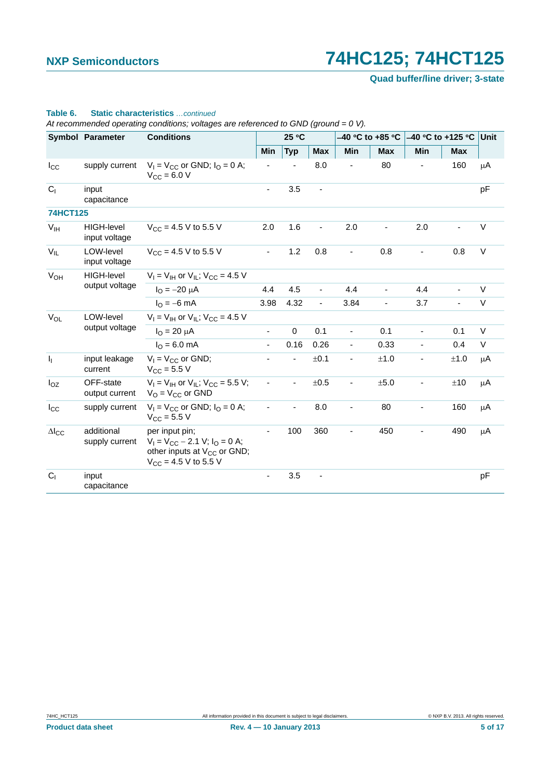**Quad buffer/line driver; 3-state**

|                            | <b>Symbol Parameter</b>            | <b>Conditions</b>                                                                                                              |                          | 25 °C      |                          |                              | –40 °C to +85 °C |                          | $-40$ °C to +125 °C | Unit    |
|----------------------------|------------------------------------|--------------------------------------------------------------------------------------------------------------------------------|--------------------------|------------|--------------------------|------------------------------|------------------|--------------------------|---------------------|---------|
|                            |                                    |                                                                                                                                | Min                      | <b>Typ</b> | <b>Max</b>               | <b>Min</b>                   | <b>Max</b>       | Min                      | <b>Max</b>          |         |
| $I_{\rm CC}$               | supply current                     | $V_1 = V_{CC}$ or GND; $I_Q = 0$ A;<br>$V_{\rm CC} = 6.0 V$                                                                    |                          |            | 8.0                      |                              | 80               |                          | 160                 | μA      |
| C <sub>1</sub>             | input<br>capacitance               |                                                                                                                                | $\blacksquare$           | 3.5        | ÷,                       |                              |                  |                          |                     | pF      |
| <b>74HCT125</b>            |                                    |                                                                                                                                |                          |            |                          |                              |                  |                          |                     |         |
| V <sub>IH</sub>            | <b>HIGH-level</b><br>input voltage | $V_{CC}$ = 4.5 V to 5.5 V                                                                                                      | 2.0                      | 1.6        | $\overline{\phantom{a}}$ | 2.0                          |                  | 2.0                      |                     | V       |
| $\mathsf{V}_{\mathsf{IL}}$ | LOW-level<br>input voltage         | $V_{CC}$ = 4.5 V to 5.5 V                                                                                                      | $\blacksquare$           | 1.2        | 0.8                      | $\qquad \qquad \blacksquare$ | 0.8              | $\overline{\phantom{a}}$ | 0.8                 | $\vee$  |
| <b>V<sub>OH</sub></b>      | <b>HIGH-level</b>                  | $V_1 = V_{1H}$ or $V_{1L}$ ; $V_{CC} = 4.5$ V                                                                                  |                          |            |                          |                              |                  |                          |                     |         |
|                            | output voltage                     | $I_{\text{O}} = -20 \mu A$                                                                                                     | 4.4                      | 4.5        | ÷,                       | 4.4                          |                  | 4.4                      |                     | V       |
|                            |                                    | $I_0 = -6$ mA                                                                                                                  | 3.98                     | 4.32       | ä,                       | 3.84                         |                  | 3.7                      |                     | $\vee$  |
| <b>V<sub>OL</sub></b>      | LOW-level                          | $V_1 = V_{1H}$ or $V_{1L}$ ; $V_{CC} = 4.5$ V                                                                                  |                          |            |                          |                              |                  |                          |                     |         |
|                            | output voltage                     | $I_{O} = 20 \mu A$                                                                                                             | $\overline{\phantom{a}}$ | 0          | 0.1                      | $\overline{\phantom{a}}$     | 0.1              | $\blacksquare$           | 0.1                 | V       |
|                            |                                    | $I_{\text{O}} = 6.0 \text{ mA}$                                                                                                | $\overline{\phantom{a}}$ | 0.16       | 0.26                     | $\overline{\phantom{a}}$     | 0.33             | $\overline{\phantom{a}}$ | 0.4                 | $\vee$  |
| Ч.                         | input leakage<br>current           | $V_1 = V_{CC}$ or GND;<br>$V_{\text{CC}} = 5.5 \text{ V}$                                                                      |                          |            | ±0.1                     | $\overline{\phantom{a}}$     | ±1.0             | ٠                        | ±1.0                | μA      |
| $I_{OZ}$                   | OFF-state<br>output current        | $V_I = V_{IH}$ or $V_{IL}$ ; $V_{CC} = 5.5$ V;<br>$V_{\text{O}} = V_{\text{CC}}$ or GND                                        |                          |            | ±0.5                     |                              | ±5.0             |                          | ±10                 | μA      |
| $I_{\rm CC}$               | supply current                     | $V_1 = V_{CC}$ or GND; $I_Q = 0$ A;<br>$V_{\rm CC} = 5.5 V$                                                                    | $\overline{\phantom{a}}$ |            | 8.0                      | ÷,                           | 80               | ä,                       | 160                 | $\mu$ A |
| $\Delta$ <sub>cc</sub>     | additional<br>supply current       | per input pin:<br>$V_1 = V_{CC} - 2.1$ V; $I_Q = 0$ A;<br>other inputs at V <sub>CC</sub> or GND;<br>$V_{CC}$ = 4.5 V to 5.5 V | $\blacksquare$           | 100        | 360                      | ä,                           | 450              |                          | 490                 | μA      |
| C <sub>1</sub>             | input<br>capacitance               |                                                                                                                                | $\blacksquare$           | 3.5        |                          |                              |                  |                          |                     | pF      |

### **Table 6. Static characteristics** *…continued*

*At recommended operating conditions; voltages are referenced to GND (ground = 0 V).*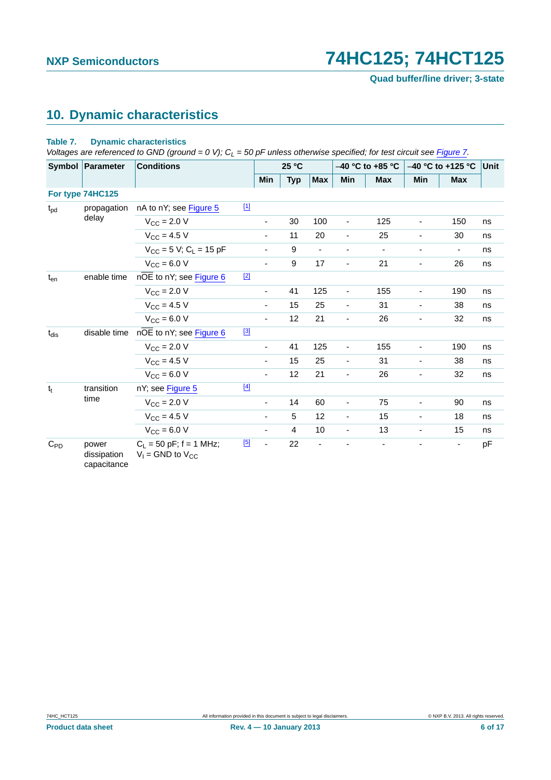**Quad buffer/line driver; 3-state**

# <span id="page-5-0"></span>**10. Dynamic characteristics**

#### **Table 7. Dynamic characteristics**

*Voltages are referenced to GND (ground = 0 V); CL = 50 pF unless otherwise specified; for test circuit see [Figure 7.](#page-8-0)*

|           | Symbol Parameter                    | <b>Conditions</b>                                    |       | 25 °C                    |                  |                | $-40$ °C to +85 °C       |                          | $-40$ °C to +125 °C      |                          | Unit |
|-----------|-------------------------------------|------------------------------------------------------|-------|--------------------------|------------------|----------------|--------------------------|--------------------------|--------------------------|--------------------------|------|
|           |                                     |                                                      |       | Min                      | <b>Typ</b>       | <b>Max</b>     | <b>Min</b>               | <b>Max</b>               | Min                      | <b>Max</b>               |      |
|           | For type 74HC125                    |                                                      |       |                          |                  |                |                          |                          |                          |                          |      |
| $t_{pd}$  | propagation                         | nA to nY; see Figure 5                               | $[1]$ |                          |                  |                |                          |                          |                          |                          |      |
|           | delay                               | $V_{\text{CC}} = 2.0 V$                              |       | -                        | 30               | 100            | $\overline{\phantom{0}}$ | 125                      | $\overline{\phantom{a}}$ | 150                      | ns   |
|           |                                     | $V_{CC}$ = 4.5 V                                     |       | $\blacksquare$           | 11               | 20             | $\blacksquare$           | 25                       | $\blacksquare$           | 30                       | ns   |
|           |                                     | $V_{CC}$ = 5 V; C <sub>1</sub> = 15 pF               |       |                          | $\boldsymbol{9}$ |                | $\overline{\phantom{0}}$ | $\overline{\phantom{a}}$ | $\overline{\phantom{a}}$ | $\overline{\phantom{a}}$ | ns   |
|           |                                     | $V_{CC} = 6.0 V$                                     |       | $\overline{\phantom{a}}$ | 9                | 17             | -                        | 21                       | $\overline{\phantom{a}}$ | 26                       | ns   |
| $t_{en}$  | enable time                         | nOE to nY; see Figure 6                              | $[2]$ |                          |                  |                |                          |                          |                          |                          |      |
|           |                                     | $V_{\text{CC}} = 2.0 V$                              |       | $\overline{\phantom{a}}$ | 41               | 125            | $\overline{\phantom{a}}$ | 155                      | $\overline{\phantom{a}}$ | 190                      | ns   |
|           |                                     | $V_{\text{CC}} = 4.5 V$                              |       | -                        | 15               | 25             | $\overline{\phantom{a}}$ | 31                       | $\overline{\phantom{a}}$ | 38                       | ns   |
|           |                                     | $V_{CC}$ = 6.0 V                                     |       | $\blacksquare$           | 12               | 21             | ä,                       | 26                       | ä,                       | 32                       | ns   |
| $t_{dis}$ | disable time                        | nOE to nY; see Figure 6                              | $[3]$ |                          |                  |                |                          |                          |                          |                          |      |
|           |                                     | $V_{\text{CC}} = 2.0 V$                              |       | ۰.                       | 41               | 125            | $\overline{\phantom{a}}$ | 155                      | $\overline{\phantom{a}}$ | 190                      | ns   |
|           |                                     | $V_{CC} = 4.5 V$                                     |       | ۰.                       | 15               | 25             | $\overline{\phantom{a}}$ | 31                       | $\blacksquare$           | 38                       | ns   |
|           |                                     | $V_{CC}$ = 6.0 V                                     |       | $\overline{\phantom{0}}$ | 12               | 21             | $\blacksquare$           | 26                       | $\overline{\phantom{a}}$ | 32                       | ns   |
| $t_t$     | transition                          | nY; see Figure 5                                     | $[4]$ |                          |                  |                |                          |                          |                          |                          |      |
|           | time                                | $V_{CC} = 2.0 V$                                     |       | -                        | 14               | 60             | $\overline{\phantom{a}}$ | 75                       | $\blacksquare$           | 90                       | ns   |
|           |                                     | $V_{CC}$ = 4.5 V                                     |       | $\blacksquare$           | 5                | 12             | $\overline{\phantom{a}}$ | 15                       | $\overline{\phantom{a}}$ | 18                       | ns   |
|           |                                     | $V_{\text{CC}} = 6.0 V$                              |       | $\blacksquare$           | 4                | 10             | $\overline{\phantom{a}}$ | 13                       | $\blacksquare$           | 15                       | ns   |
| $C_{PD}$  | power<br>dissipation<br>capacitance | $C_L = 50$ pF; f = 1 MHz;<br>$V_1$ = GND to $V_{CC}$ | [5]   | L.                       | 22               | $\blacksquare$ |                          | $\overline{\phantom{a}}$ |                          | $\frac{1}{2}$            | pF   |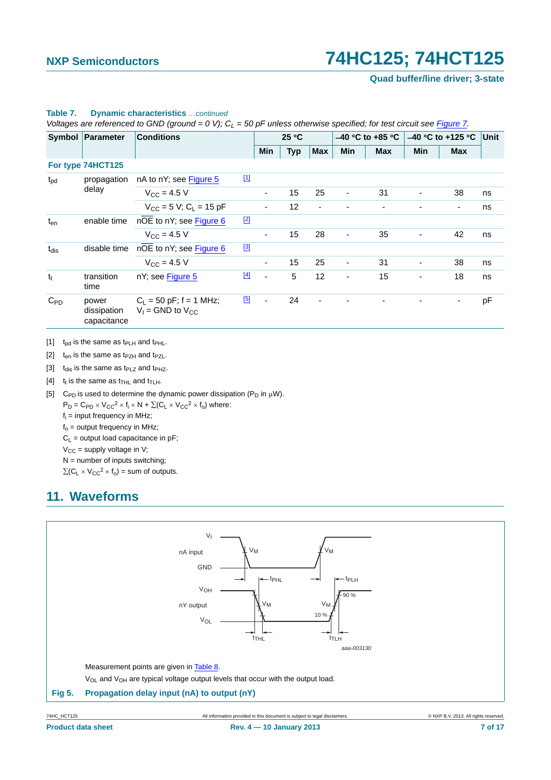**Quad buffer/line driver; 3-state**

| $\frac{1}{2}$ order of order to the $\frac{1}{2}$ of $\frac{1}{2}$ of $\frac{1}{2}$ or $\frac{1}{2}$ of $\frac{1}{2}$ or $\frac{1}{2}$ or $\frac{1}{2}$ or $\frac{1}{2}$ or $\frac{1}{2}$ or $\frac{1}{2}$ or $\frac{1}{2}$ or $\frac{1}{2}$ or $\frac{1}{2}$ or $\frac{1}{2}$ or $\frac{1}{2$ |                                     |                                                      |       |                          |            |                |                          |                    |                          |                          |             |
|------------------------------------------------------------------------------------------------------------------------------------------------------------------------------------------------------------------------------------------------------------------------------------------------|-------------------------------------|------------------------------------------------------|-------|--------------------------|------------|----------------|--------------------------|--------------------|--------------------------|--------------------------|-------------|
|                                                                                                                                                                                                                                                                                                | Symbol Parameter                    | <b>Conditions</b>                                    |       | 25 °C                    |            |                |                          | $-40$ °C to +85 °C |                          | $-40$ °C to +125 °C      | <b>Unit</b> |
|                                                                                                                                                                                                                                                                                                |                                     |                                                      |       | Min                      | <b>Typ</b> | <b>Max</b>     | <b>Min</b>               | <b>Max</b>         | <b>Min</b>               | <b>Max</b>               |             |
|                                                                                                                                                                                                                                                                                                | For type 74HCT125                   |                                                      |       |                          |            |                |                          |                    |                          |                          |             |
| $t_{\rm pd}$                                                                                                                                                                                                                                                                                   | propagation                         | nA to nY; see Figure 5                               | $[1]$ |                          |            |                |                          |                    |                          |                          |             |
|                                                                                                                                                                                                                                                                                                | delay                               | $V_{CC} = 4.5 V$                                     |       |                          | 15         | 25             | $\overline{\phantom{a}}$ | 31                 |                          | 38                       | ns          |
|                                                                                                                                                                                                                                                                                                |                                     | $V_{CC}$ = 5 V; C <sub>1</sub> = 15 pF               |       | $\overline{\phantom{a}}$ | 12         | $\blacksquare$ |                          |                    |                          | ۰                        | ns          |
| $t_{en}$                                                                                                                                                                                                                                                                                       | enable time                         | nOE to nY; see Figure 6                              | $[2]$ |                          |            |                |                          |                    |                          |                          |             |
|                                                                                                                                                                                                                                                                                                |                                     | $V_{CC} = 4.5 V$                                     |       | ۰.                       | 15         | 28             | $\blacksquare$           | 35                 | $\overline{\phantom{a}}$ | 42                       | ns          |
| $t_{dis}$                                                                                                                                                                                                                                                                                      | disable time                        | nOE to nY; see Figure 6                              | [3]   |                          |            |                |                          |                    |                          |                          |             |
|                                                                                                                                                                                                                                                                                                |                                     | $V_{CC} = 4.5 V$                                     |       |                          | 15         | 25             | $\overline{\phantom{m}}$ | 31                 | ٠                        | 38                       | ns          |
| $t_t$                                                                                                                                                                                                                                                                                          | transition<br>time                  | nY; see Figure 5                                     | $[4]$ | $\blacksquare$           | 5          | 12             | ٠                        | 15                 |                          | 18                       | ns          |
| $C_{PD}$                                                                                                                                                                                                                                                                                       | power<br>dissipation<br>capacitance | $C_L$ = 50 pF; f = 1 MHz;<br>$V_1$ = GND to $V_{CC}$ | [5]   | ۰                        | 24         |                |                          |                    |                          | $\overline{\phantom{a}}$ | pF          |

### **Table 7. Dynamic characteristics** *…continued*

*Voltages are referenced to GND (ground = 0 V); C<sub>i</sub> = 50 pF unless otherwise specified; for test circuit see Figure 7.* 

<span id="page-6-1"></span>[1]  $t_{pd}$  is the same as  $t_{PLH}$  and  $t_{PHL}$ .

<span id="page-6-2"></span>[2]  $t_{en}$  is the same as  $t_{PZH}$  and  $t_{PZL}$ .

<span id="page-6-3"></span>[3]  $t_{dis}$  is the same as  $t_{PLZ}$  and  $t_{PHZ}$ .

<span id="page-6-4"></span>[4]  $t_t$  is the same as  $t_{\text{THL}}$  and  $t_{\text{TLH}}$ .

<span id="page-6-5"></span>[5] C<sub>PD</sub> is used to determine the dynamic power dissipation (P<sub>D</sub> in  $\mu$ W).

 $P_D = C_{PD} \times V_{CC}^2 \times f_i \times N + \Sigma (C_L \times V_{CC}^2 \times f_o)$  where:

fi = input frequency in MHz;

 $f<sub>o</sub>$  = output frequency in MHz;

 $C_L$  = output load capacitance in pF;

 $V_{CC}$  = supply voltage in V;

 $N =$  number of inputs switching;

 $\Sigma(C_L \times V_{CC}^2 \times f_0)$  = sum of outputs.

# <span id="page-6-6"></span>**11. Waveforms**



<span id="page-6-0"></span>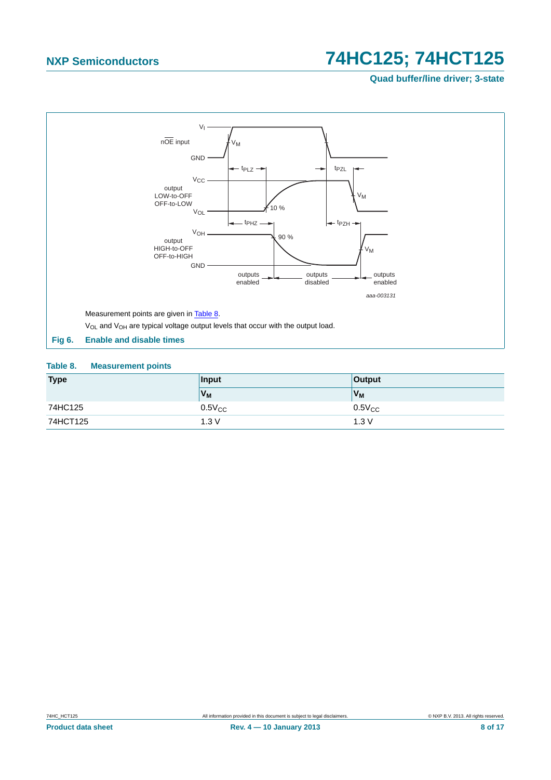**Quad buffer/line driver; 3-state**



#### <span id="page-7-1"></span><span id="page-7-0"></span>**Table 8. Measurement points**

| <b>Type</b> | Input       | Output         |  |  |
|-------------|-------------|----------------|--|--|
|             | $V_{M}$     | V <sub>M</sub> |  |  |
| 74HC125     | $0.5V_{CC}$ | $0.5V_{CC}$    |  |  |
| 74HCT125    | 1.3V        | 1.3V           |  |  |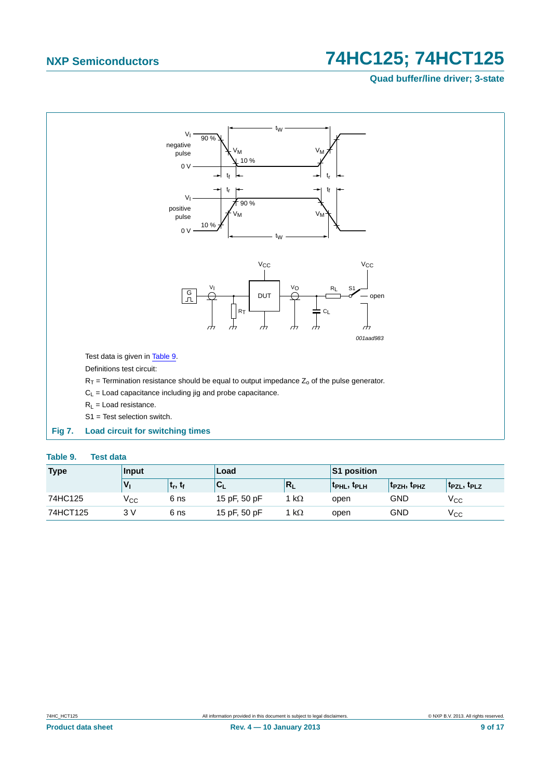## **Quad buffer/line driver; 3-state**



### <span id="page-8-1"></span><span id="page-8-0"></span>**Table 9. Test data**

| <b>Type</b> | Input           |                                 | Load         |           | <b>S1 position</b> |                   |                       |  |
|-------------|-----------------|---------------------------------|--------------|-----------|--------------------|-------------------|-----------------------|--|
|             |                 | t <sub>r</sub> , t <sub>f</sub> | r<br>◡∟      | 'Rı       | <b>TPHL, TPLH</b>  | <b>TPZH, TPHZ</b> | $t_{PZL}$ , $t_{PLZ}$ |  |
| 74HC125     | v <sub>cc</sub> | 6 ns                            | 15 pF, 50 pF | $k\Omega$ | open               | GND               | $V_{\rm CC}$          |  |
| 74HCT125    | 3V              | 6 ns                            | 15 pF, 50 pF | $k\Omega$ | open               | GND               | $\rm V_{CC}$          |  |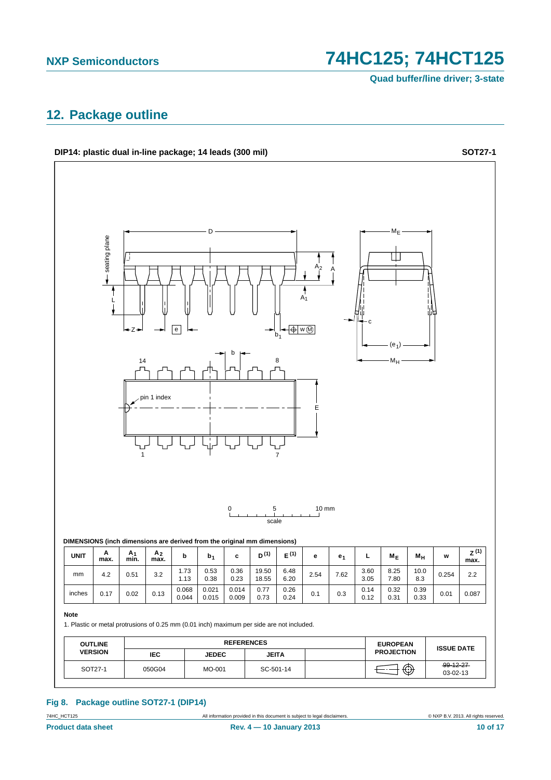**Quad buffer/line driver; 3-state**

# <span id="page-9-0"></span>**12. Package outline**

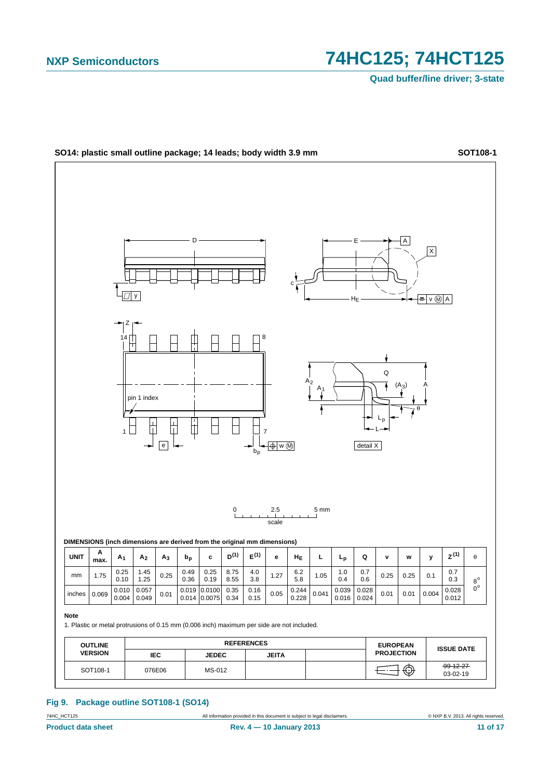**Quad buffer/line driver; 3-state**



**Fig 9. Package outline SOT108-1 (SO14)**

74HC\_HCT125 All information provided in this document is subject to legal disclaimers. © NXP B.V. 2013. All rights reserved.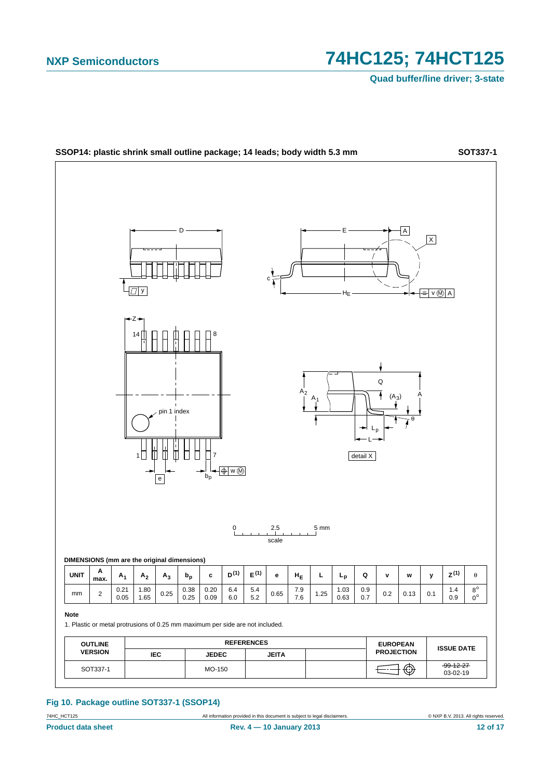**Quad buffer/line driver; 3-state**



**Fig 10. Package outline SOT337-1 (SSOP14)**

74HC\_HCT125 All information provided in this document is subject to legal disclaimers. © NXP B.V. 2013. All rights reserved.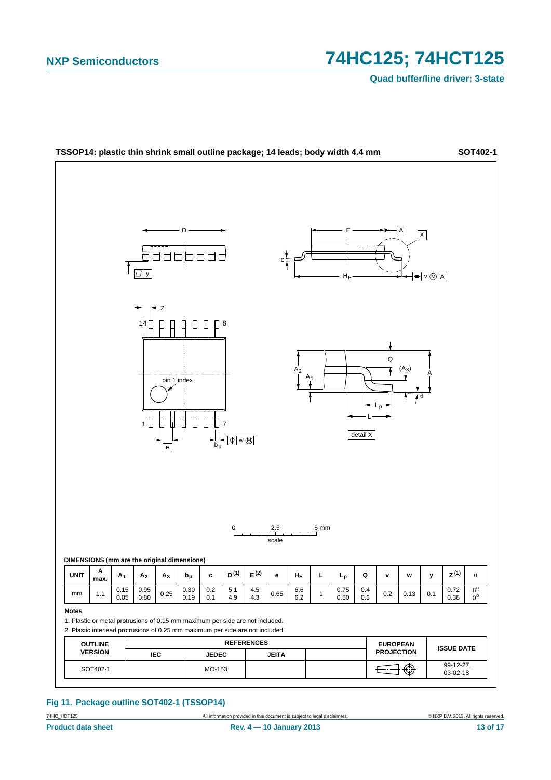**Quad buffer/line driver; 3-state**



#### **Fig 11. Package outline SOT402-1 (TSSOP14)**

74HC\_HCT125 All information provided in this document is subject to legal disclaimers. © NXP B.V. 2013. All rights reserved.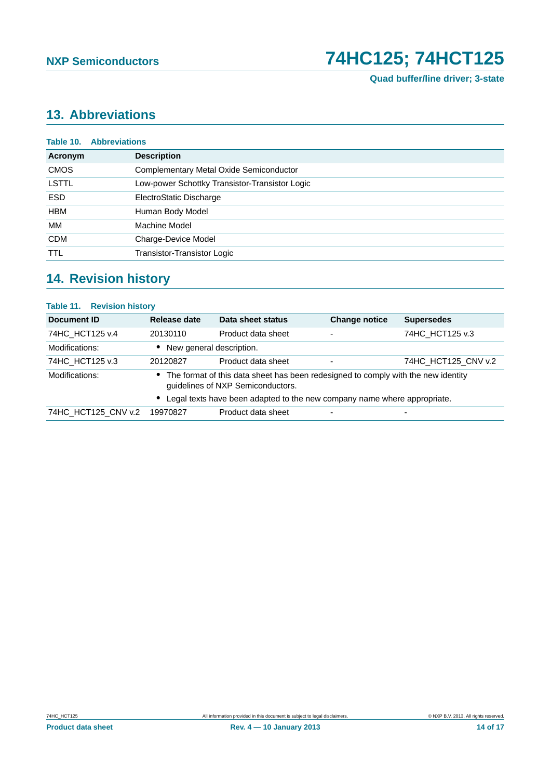**Quad buffer/line driver; 3-state**

# <span id="page-13-0"></span>**13. Abbreviations**

| Table 10.<br><b>Abbreviations</b>              |  |  |  |
|------------------------------------------------|--|--|--|
| <b>Description</b>                             |  |  |  |
| Complementary Metal Oxide Semiconductor        |  |  |  |
| Low-power Schottky Transistor-Transistor Logic |  |  |  |
| ElectroStatic Discharge                        |  |  |  |
| Human Body Model                               |  |  |  |
| Machine Model                                  |  |  |  |
| Charge-Device Model                            |  |  |  |
| Transistor-Transistor Logic                    |  |  |  |
|                                                |  |  |  |

# <span id="page-13-1"></span>**14. Revision history**

## **Table 11. Revision history**

| Document ID         | Release date                                                                                                             | Data sheet status                                                        | <b>Change notice</b>     | <b>Supersedes</b>        |
|---------------------|--------------------------------------------------------------------------------------------------------------------------|--------------------------------------------------------------------------|--------------------------|--------------------------|
| 74HC HCT125 v.4     | 20130110                                                                                                                 | Product data sheet                                                       | ٠                        | 74HC HCT125 v.3          |
| Modifications:      | New general description.                                                                                                 |                                                                          |                          |                          |
| 74HC HCT125 v.3     | 20120827                                                                                                                 | Product data sheet                                                       | $\overline{\phantom{a}}$ | 74HC HCT125 CNV v.2      |
| Modifications:      | • The format of this data sheet has been redesigned to comply with the new identity<br>guidelines of NXP Semiconductors. |                                                                          |                          |                          |
|                     |                                                                                                                          | Legal texts have been adapted to the new company name where appropriate. |                          |                          |
| 74HC HCT125 CNV v.2 | 19970827                                                                                                                 | Product data sheet                                                       | $\overline{\phantom{0}}$ | $\overline{\phantom{0}}$ |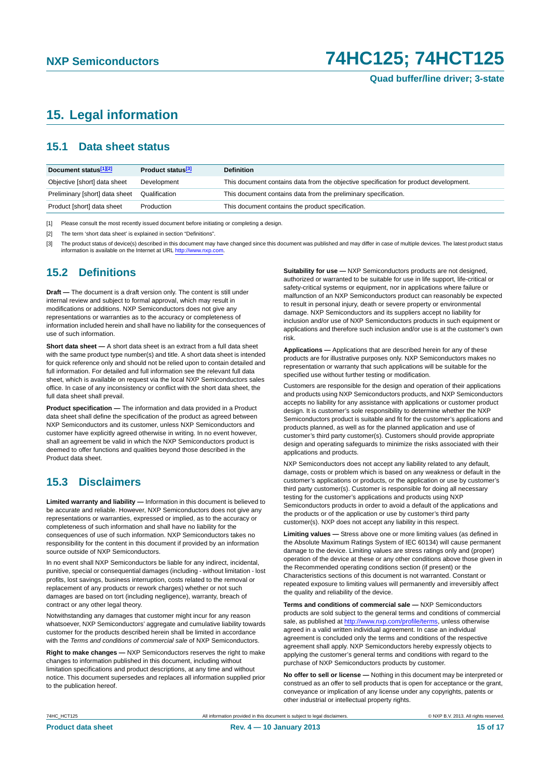# <span id="page-14-0"></span>**15. Legal information**

## <span id="page-14-1"></span>**15.1 Data sheet status**

| Document status[1][2]          | Product status <sup>[3]</sup> | <b>Definition</b>                                                                     |
|--------------------------------|-------------------------------|---------------------------------------------------------------------------------------|
| Objective [short] data sheet   | Development                   | This document contains data from the objective specification for product development. |
| Preliminary [short] data sheet | Qualification                 | This document contains data from the preliminary specification.                       |
| Product [short] data sheet     | Production                    | This document contains the product specification.                                     |

[1] Please consult the most recently issued document before initiating or completing a design.

[2] The term 'short data sheet' is explained in section "Definitions".

[3] The product status of device(s) described in this document may have changed since this document was published and may differ in case of multiple devices. The latest product status<br>information is available on the Intern

## <span id="page-14-2"></span>**15.2 Definitions**

**Draft —** The document is a draft version only. The content is still under internal review and subject to formal approval, which may result in modifications or additions. NXP Semiconductors does not give any representations or warranties as to the accuracy or completeness of information included herein and shall have no liability for the consequences of use of such information.

**Short data sheet —** A short data sheet is an extract from a full data sheet with the same product type number(s) and title. A short data sheet is intended for quick reference only and should not be relied upon to contain detailed and full information. For detailed and full information see the relevant full data sheet, which is available on request via the local NXP Semiconductors sales office. In case of any inconsistency or conflict with the short data sheet, the full data sheet shall prevail.

**Product specification —** The information and data provided in a Product data sheet shall define the specification of the product as agreed between NXP Semiconductors and its customer, unless NXP Semiconductors and customer have explicitly agreed otherwise in writing. In no event however, shall an agreement be valid in which the NXP Semiconductors product is deemed to offer functions and qualities beyond those described in the Product data sheet.

## <span id="page-14-3"></span>**15.3 Disclaimers**

**Limited warranty and liability —** Information in this document is believed to be accurate and reliable. However, NXP Semiconductors does not give any representations or warranties, expressed or implied, as to the accuracy or completeness of such information and shall have no liability for the consequences of use of such information. NXP Semiconductors takes no responsibility for the content in this document if provided by an information source outside of NXP Semiconductors.

In no event shall NXP Semiconductors be liable for any indirect, incidental, punitive, special or consequential damages (including - without limitation - lost profits, lost savings, business interruption, costs related to the removal or replacement of any products or rework charges) whether or not such damages are based on tort (including negligence), warranty, breach of contract or any other legal theory.

Notwithstanding any damages that customer might incur for any reason whatsoever, NXP Semiconductors' aggregate and cumulative liability towards customer for the products described herein shall be limited in accordance with the *Terms and conditions of commercial sale* of NXP Semiconductors.

**Right to make changes —** NXP Semiconductors reserves the right to make changes to information published in this document, including without limitation specifications and product descriptions, at any time and without notice. This document supersedes and replaces all information supplied prior to the publication hereof.

**Suitability for use —** NXP Semiconductors products are not designed, authorized or warranted to be suitable for use in life support, life-critical or safety-critical systems or equipment, nor in applications where failure or malfunction of an NXP Semiconductors product can reasonably be expected to result in personal injury, death or severe property or environmental damage. NXP Semiconductors and its suppliers accept no liability for inclusion and/or use of NXP Semiconductors products in such equipment or applications and therefore such inclusion and/or use is at the customer's own risk.

**Applications —** Applications that are described herein for any of these products are for illustrative purposes only. NXP Semiconductors makes no representation or warranty that such applications will be suitable for the specified use without further testing or modification.

Customers are responsible for the design and operation of their applications and products using NXP Semiconductors products, and NXP Semiconductors accepts no liability for any assistance with applications or customer product design. It is customer's sole responsibility to determine whether the NXP Semiconductors product is suitable and fit for the customer's applications and products planned, as well as for the planned application and use of customer's third party customer(s). Customers should provide appropriate design and operating safeguards to minimize the risks associated with their applications and products.

NXP Semiconductors does not accept any liability related to any default, damage, costs or problem which is based on any weakness or default in the customer's applications or products, or the application or use by customer's third party customer(s). Customer is responsible for doing all necessary testing for the customer's applications and products using NXP Semiconductors products in order to avoid a default of the applications and the products or of the application or use by customer's third party customer(s). NXP does not accept any liability in this respect.

**Limiting values —** Stress above one or more limiting values (as defined in the Absolute Maximum Ratings System of IEC 60134) will cause permanent damage to the device. Limiting values are stress ratings only and (proper) operation of the device at these or any other conditions above those given in the Recommended operating conditions section (if present) or the Characteristics sections of this document is not warranted. Constant or repeated exposure to limiting values will permanently and irreversibly affect the quality and reliability of the device.

**Terms and conditions of commercial sale —** NXP Semiconductors products are sold subject to the general terms and conditions of commercial sale, as published at<http://www.nxp.com/profile/terms>, unless otherwise agreed in a valid written individual agreement. In case an individual agreement is concluded only the terms and conditions of the respective agreement shall apply. NXP Semiconductors hereby expressly objects to applying the customer's general terms and conditions with regard to the purchase of NXP Semiconductors products by customer.

**No offer to sell or license —** Nothing in this document may be interpreted or construed as an offer to sell products that is open for acceptance or the grant, conveyance or implication of any license under any copyrights, patents or other industrial or intellectual property rights.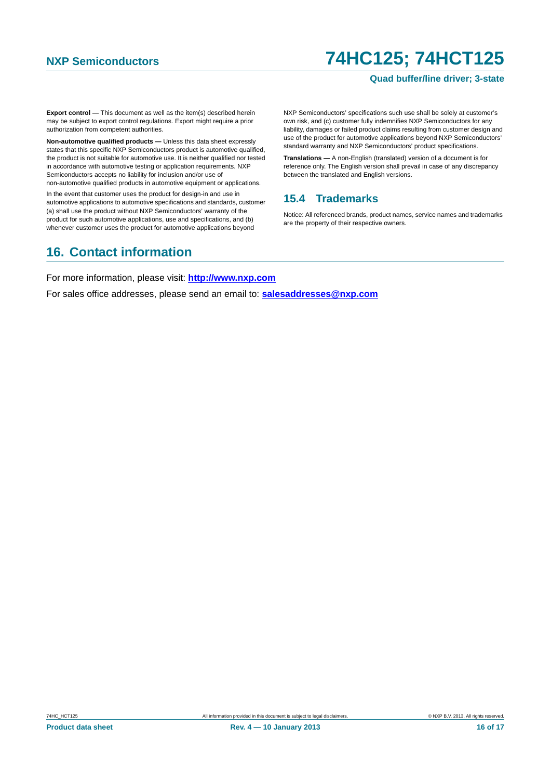### **Quad buffer/line driver; 3-state**

**Export control —** This document as well as the item(s) described herein may be subject to export control regulations. Export might require a prior authorization from competent authorities.

**Non-automotive qualified products —** Unless this data sheet expressly states that this specific NXP Semiconductors product is automotive qualified, the product is not suitable for automotive use. It is neither qualified nor tested in accordance with automotive testing or application requirements. NXP Semiconductors accepts no liability for inclusion and/or use of non-automotive qualified products in automotive equipment or applications.

In the event that customer uses the product for design-in and use in automotive applications to automotive specifications and standards, customer (a) shall use the product without NXP Semiconductors' warranty of the product for such automotive applications, use and specifications, and (b) whenever customer uses the product for automotive applications beyond

NXP Semiconductors' specifications such use shall be solely at customer's own risk, and (c) customer fully indemnifies NXP Semiconductors for any liability, damages or failed product claims resulting from customer design and use of the product for automotive applications beyond NXP Semiconductors' standard warranty and NXP Semiconductors' product specifications.

**Translations —** A non-English (translated) version of a document is for reference only. The English version shall prevail in case of any discrepancy between the translated and English versions.

## <span id="page-15-0"></span>**15.4 Trademarks**

Notice: All referenced brands, product names, service names and trademarks are the property of their respective owners.

# <span id="page-15-1"></span>**16. Contact information**

For more information, please visit: **http://www.nxp.com**

For sales office addresses, please send an email to: **salesaddresses@nxp.com**